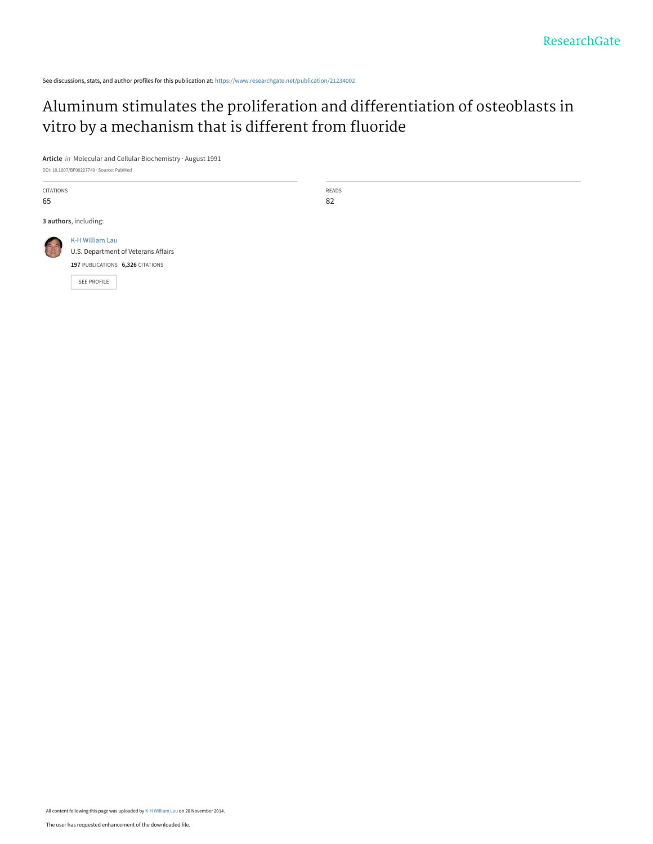See discussions, stats, and author profiles for this publication at: [https://www.researchgate.net/publication/21234002](https://www.researchgate.net/publication/21234002_Aluminum_stimulates_the_proliferation_and_differentiation_of_osteoblasts_in_vitro_by_a_mechanism_that_is_different_from_fluoride?enrichId=rgreq-935d2f1198c6284b9545d77c91707bfc-XXX&enrichSource=Y292ZXJQYWdlOzIxMjM0MDAyO0FTOjE2NTQ4OTk5NzI2Mjg0OEAxNDE2NDY3Mjk4ODQz&el=1_x_2&_esc=publicationCoverPdf)

# [Aluminum stimulates the proliferation and differentiation of osteoblasts in](https://www.researchgate.net/publication/21234002_Aluminum_stimulates_the_proliferation_and_differentiation_of_osteoblasts_in_vitro_by_a_mechanism_that_is_different_from_fluoride?enrichId=rgreq-935d2f1198c6284b9545d77c91707bfc-XXX&enrichSource=Y292ZXJQYWdlOzIxMjM0MDAyO0FTOjE2NTQ4OTk5NzI2Mjg0OEAxNDE2NDY3Mjk4ODQz&el=1_x_3&_esc=publicationCoverPdf) vitro by a mechanism that is different from fluoride

**Article** in Molecular and Cellular Biochemistry · August 1991

DOI: 10.1007/BF00227749 · Source: PubMed

CITATIONS 65

**3 authors**, including:



[K-H William Lau](https://www.researchgate.net/profile/K-H-Lau?enrichId=rgreq-935d2f1198c6284b9545d77c91707bfc-XXX&enrichSource=Y292ZXJQYWdlOzIxMjM0MDAyO0FTOjE2NTQ4OTk5NzI2Mjg0OEAxNDE2NDY3Mjk4ODQz&el=1_x_5&_esc=publicationCoverPdf) [U.S. Department of Veterans Affairs](https://www.researchgate.net/institution/US_Department_of_Veterans_Affairs?enrichId=rgreq-935d2f1198c6284b9545d77c91707bfc-XXX&enrichSource=Y292ZXJQYWdlOzIxMjM0MDAyO0FTOjE2NTQ4OTk5NzI2Mjg0OEAxNDE2NDY3Mjk4ODQz&el=1_x_6&_esc=publicationCoverPdf) **197** PUBLICATIONS **6,326** CITATIONS

[SEE PROFILE](https://www.researchgate.net/profile/K-H-Lau?enrichId=rgreq-935d2f1198c6284b9545d77c91707bfc-XXX&enrichSource=Y292ZXJQYWdlOzIxMjM0MDAyO0FTOjE2NTQ4OTk5NzI2Mjg0OEAxNDE2NDY3Mjk4ODQz&el=1_x_7&_esc=publicationCoverPdf)

READS 82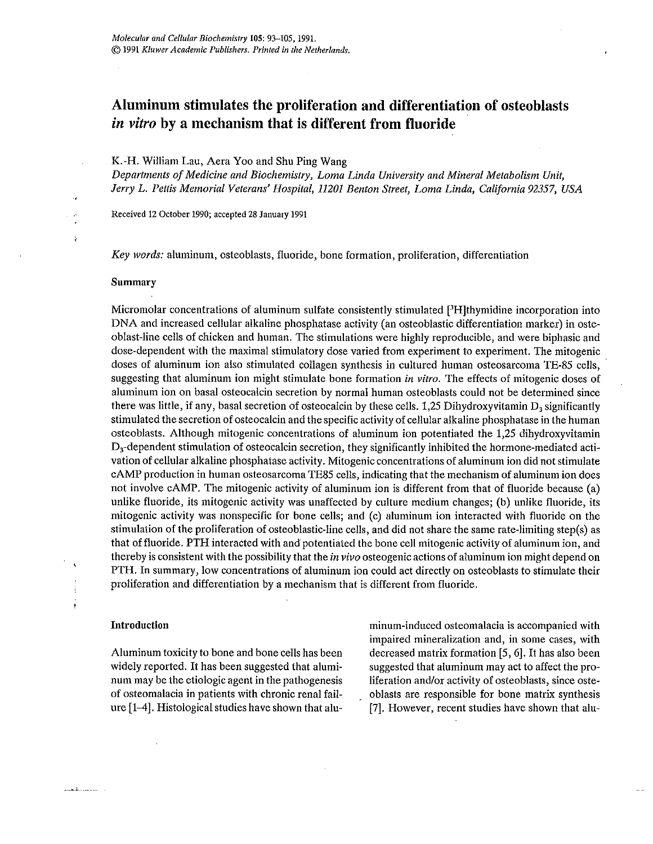## **Aluminum stimulates the proliferation and differentiation of osteoblasts**  *in vitro* **by a mechanism that is different from fluoride**

#### K.-H. William Lau, Aera Yoo and Shu Ping Wang

*Departments of Medicine and Biochemistry, Loma Linda University and Mineral Metabolism Unit, Jeny L. Pettis Memorial Veterans' Hospital, 11201 Benton Street, Loma Linda, California 92357, USA* 

**Received 12 October 1990; accepted 28 January 1991** 

*Key words:* aluminum, osteoblasts, fluoride, bone formation, proliferation, differentiation

#### **Summary**

ś

Micromolar concentrations of aluminum sulfate consistently stimulated ['H]thymidine incorporation into DNA and increased cellular alkaline phosphatase activity (an osteoblastic differentiation marker) in osteoblast-line cells of chicken and human. The stimulations were highly reproducible, and were biphasic and dose-dependent with the maximal stimulatory dose varied from experiment to experiment. The mitogenic doses of aluminum ion also stimulated collagen synthesis in cultured human osteosarcoma TE-85 cells, • suggesting that aluminum ion might stimulate bone formation *in vitro.* The effects of mitogenic doses of aluminum ion on basal osteocalcin secretion by normal human osteoblasts could not be determined since there was little, if any, basal secretion of osteocalcin by these cells. 1,25 Dihydroxyvitamin  $D_3$  significantly stimulated the secretion of osteocalcin and the specific activity of cellular alkaline phosphatase in the human osteoblasts. Although mitogenic concentrations of aluminum ion potentiated the 1,25 dihydroxyvitamin  $D_3$ -dependent stimulation of osteocalcin secretion, they significantly inhibited the hormone-mediated activation of cellular alkaline phosphatase activity. Mitogenic concentrations of aluminum ion did not stimulate cAMP production in human osteosarcoma TESS cells, indicating that the mechanism of aluminum ion does not involve cAMP. The mitogenic activity of aluminum ion is different from that of fluoride because (a) unlike fluoride, its mitogenic activity was unaffected by culture medium changes; (b) unlike fluoride, its mitogenic activity was nonspecific for bone cells; and (c) aluminum ion interacted with fluoride on the stimulation of the proliferation of osteoblastic-line cells, and did not share the same rate-limiting step(s) as that of fluoride. PTH interacted with and potentiated the bone cell mitogenic activity of aluminum ion, and thereby is consistent with the possibility that the *in vivo* osteogenic actions of aluminum ion might depend on PTH. In summary, low concentrations of aluminum ion could act directly on osteoblasts to stimulate their proliferation and differentiation by a mechanism that is different from fluoride.

#### **Introduction**

والمستحصل والمسا

Aluminum toxicity to bone and bone cells has been widely reported. It has been suggested that aluminum may be the etiologic agent in the pathogenesis of osteomalacia in patients with chronic renal failure  $[1-4]$ . Histological studies have shown that aluminum-induced osteomalacia is accompanied with impaired mineralization and, in some cases, with decreased matrix formation [5, 6). It has also been suggested that aluminum may act to affect the proliferation and/or activity of osteoblasts, since osteoblasts are responsible for bone matrix synthesis [7]. However, recent studies have shown that alu-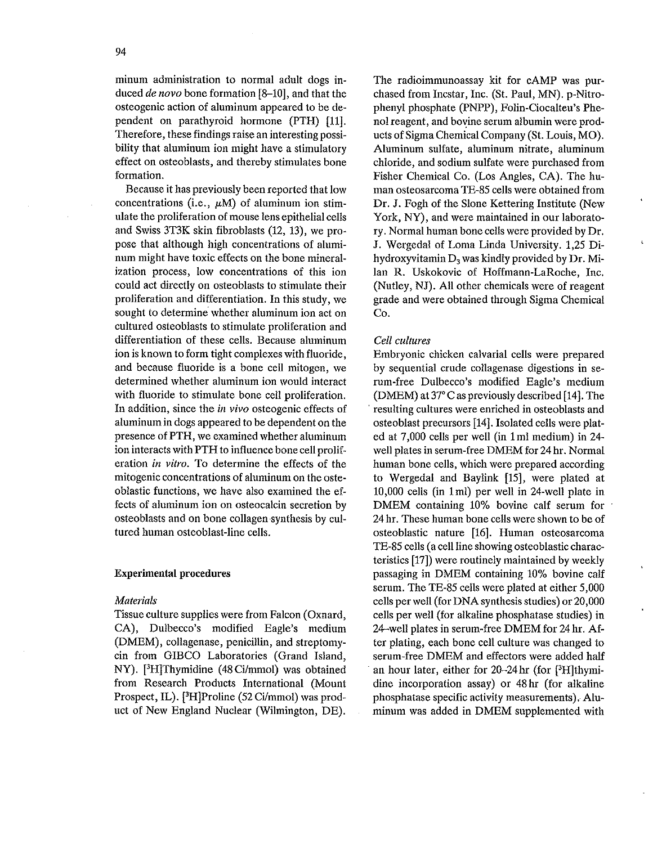minum administration to normal adult dogs induced *de novo* bone formation (8-10], and that the osteogenic action of aluminum appeared to be dependent on parathyroid hormone (PTH) (11]. Therefore, these findings raise an interesting possibility that aluminum ion might have a stimulatory effect on osteoblasts, and thereby stimulates bone formation.

Because it has previously been reported that low concentrations (i.e.,  $\mu$ M) of aluminum ion stimulate the proliferation of mouse lens epithelial cells and Swiss 3T3K skin fibroblasts (12, 13), we propose that although high concentrations of aluminum might have toxic effects on the bone mineralization process, low concentrations of this ion could act directly on osteoblasts to stimulate their proliferation and differentiation. In this study, we sought to determine whether aluminum ion act on cultured osteoblasts to stimulate proliferation and differentiation of these cells. Because aluminum ion is known to form tight complexes with fluoride, and because fluoride is a bone cell mitogen, we determined whether aluminum ion would interact with fluoride to stimulate bone cell proliferation. In addition, since the *in vivo* osteogenic effects of aluminum in dogs appeared to be dependent on the presence of PTH, we examined whether aluminum ion interacts with PTH to influence bone cell proliferation *in vitro.* To determine the effects of the mitogenic concentrations of aluminum on the osteoblastic functions, we have also examined the effects of aluminum ion on osteocalcin secretion by osteoblasts and on bone collagen ·synthesis by cultured human osteoblast-line cells.

## **Experimental procedures**

#### *Materials*

Tissue culture supplies were from Falcon (Oxnard, CA), Dulbecco's modified Eagle's medium (DMEM), collagenase, penicillin, and streptomycin from GIBCO Laboratories (Grand Island, NY). ['H]Thymidine (48Ci/mmol) was obtained from Research Products International (Mount Prospect, IL). [<sup>3</sup>H]Proline (52 Ci/mmol) was product of New England Nuclear (Wilmington, DE). The radioimmunoassay kit for cAMP was purchased from Incstar, Inc. (St. Paul, MN). p-Nitrophenyl phosphate (PNPP), Folin-Ciocalteu's Phenol reagent, and bovine serum albumin were products of Sigma Chemical Company (St. Louis, MO). Aluminum sulfate, aluminum nitrate, aluminum chloride, and sodium sulfate were purchased from Fisher Chemical Co. (Los Angles, CA). The human osteosarcoma TE-85 cells were obtained from Dr. J. Fogh of the Slone Kettering Institute (New York, NY), and were maintained in our laboratory. Normal human bone cells were provided by Dr. J. Wergedal of Loma Linda University. 1,25 Dihydroxyvitamin  $D_3$  was kindly provided by Dr. Milan R. Uskokovic of Hoffmann-LaRoche, Inc. (Nutley, NJ). All other chemicals were of reagent grade and were obtained through Sigma Chemical Co.

 $\mathbf{t}$ 

#### *Cell cultures*

Embryonic chicken calvarial cells were prepared by sequential crude collagenase digestions in serum-free Dulbecco's modified Eagle's medium (DMEM) at 37' C as previously described [14]. The • resulting cultures were enriched in osteoblasts and osteoblast precursors (14]. Isolated cells were plated at 7,000 cells per well (in 1ml medium) in 24 well plates in serum-free DMEM for 24 hr. Normal human bone cells, which were prepared according to Wergedal and Baylink (15], were plated at 10,000 cells (in 1 ml) per well in 24-well plate in DMEM containing 10% bovine calf serum for 24 hr. These human bone cells were shown to be of osteoblastic nature (16]. Human osteosarcoma TE-85 cells ( a cell line showing osteoblastic characteristics (17]) were routinely maintained by weekly passaging in DMEM containing 10% bovine calf serum. The TE-85 cells were plated at either 5,000 cells per well (for DNA synthesis studies) or 20,000 cells per well (for alkaline phosphatase studies) in 24-well plates in serum-free DMEM for 24 hr. After plating, each bone cell culture was changed to serum-free DMEM and effectors were added half an hour later, either for 20–24 hr (for [3H]thymidine incorporation assay) or 48 hr (for alkaline phosphatase specific activity measurements). Aluminum was added in DMEM supplemented with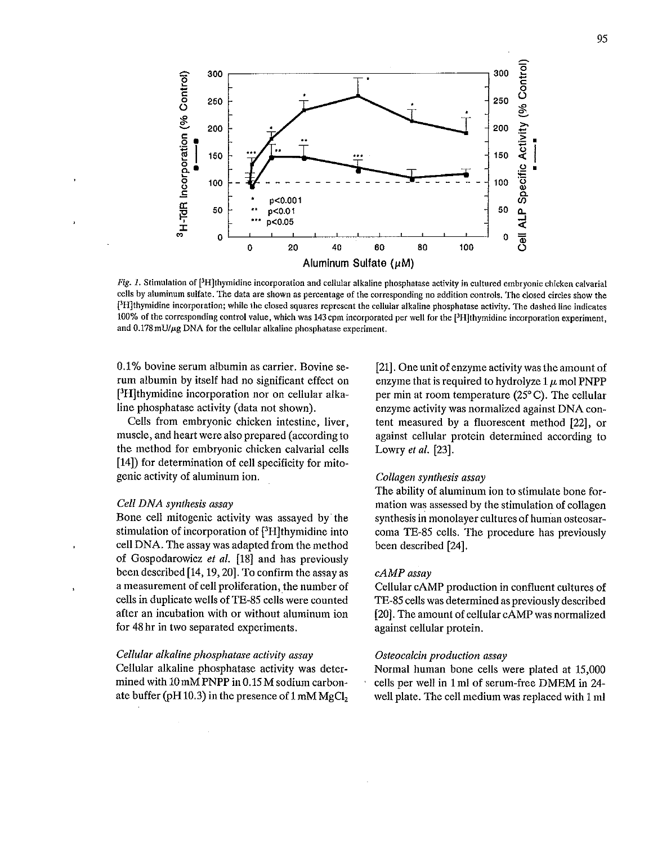

*Fig. 1.* **Stimulation of [3H]thymidine incorporation and cellular alkaline phosphatase activity in cultured embryonic chicken calvarial ceJls by aluminum sulfate. The data are shown as percentage of the corresponding no addition controls. The closed circles show the [3H]thymidine incorporation; while the closed squares represent the cellular alkaline phosphatase activity. The dashed line indicates 100% of the corresponding control value, which was 143 cpm incorporated per well for the [3H]thymidine incorporation experiment,**  and  $0.178$  mU/ $\mu$ g DNA for the cellular alkaline phosphatase experiment.

0.1 % bovine serum albumin as carrier. Bovine serum albumin by itself had no significant effect on [ 3 H]thymidine incorporation nor on cellular alkaline phosphatase activity ( data not shown).

Cells from embryonic chicken intestine, liver, muscle, and heart were also prepared ( according to the method for embryonic chicken calvarial cells [14]) for determination of cell specificity for mitogenic activity of aluminum ion.

#### *Cell DNA synthesis assay*

Bone cell mitogenic activity was assayed by° the stimulation of incorporation of [ 3 H]thymidine into cell DNA. The assay was adapted from the method of Gospodarowicz *et al.* [18] and has previously been described [14, 19, 20]. To confirm the assay as a measurement of cell proliferation, the number of cells in duplicate wells of TE-85 cells were counted after an incubation with or without aluminum ion for 48hr in two separated experiments.

#### *Cellular alkaline phosphatase activity assay*

Cellular alkaline phosphatase activity was determined with 10 mM PNPP in 0.15 M sodium carbonate buffer ( $pH$  10.3) in the presence of 1 mM MgCl<sub>2</sub> [21]. One unit of enzyme activity was the amount of enzyme that is required to hydrolyze  $1 \mu$  mol PNPP per min at room temperature (25°C). The cellular enzyme activity was normalized against DNA content measured by a fluorescent method [22], or against cellular protein determined according to Lowry *et al.* [23].

### *Collagen synthesis assay*

The ability of aluminum ion to stimulate bone formation was assessed by the stimulation of collagen synthesis in monolayer cultures of human osteosarcoma TE-85 cells. The procedure has previously been described [24].

#### *cAMPassay*

Cellular cAMP production in confluent cultures of TE-85 cells was determined as previously described [20]. The amount of cellular cAMP was normalized against cellular protein.

#### *Osteocalcin production assay*

Normal human bone cells were plated at 15,000 cells per well in 1 ml of serum-free DMEM in 24 well plate. The cell medium was replaced with 1 ml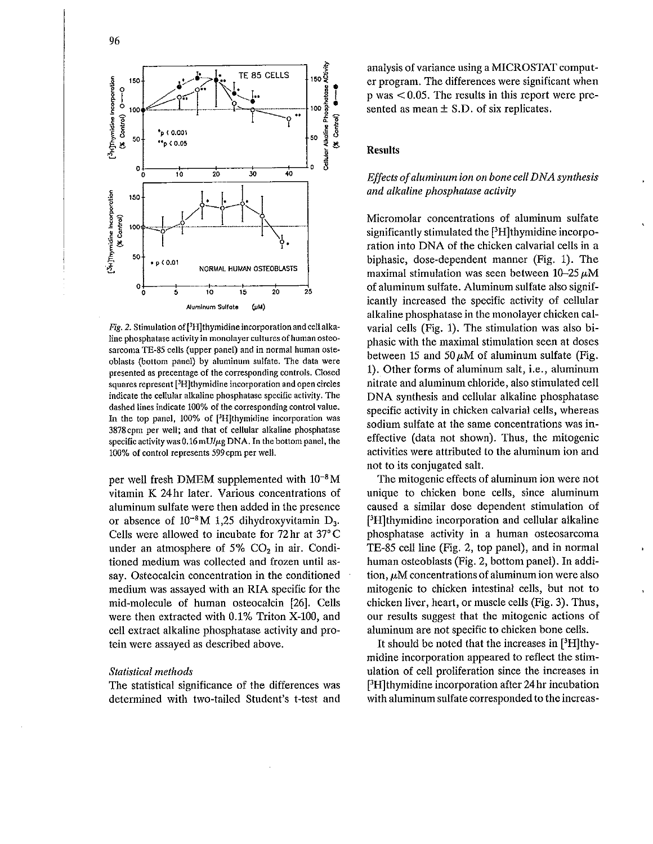

*Fig. 2.* **Stimulation of [3H]thymidine incorporation and cell alkaline phosphatase activity in monolayer cultures of human osteosarcoma TE-85 cells (upper panel) and in normal human osteoblasts (bottom panel) by aluminum sulfate. The data were presented as precentage of the corresponding controls. Closed squares represent {3H]thymidine incorporation and open circles indicate the cellular alkaline phosphatase specific activity. The dashed lines indicate 100% of the corresponding control value. In the top panel, 100% of [3HJthymidine incorporation was 3878cpm per well; and that of cellular alkaline phosphatase specific activity was 0.16mU/µg DNA. In the bottom panel, the 100% of control represents 599cpm per well.** 

per well fresh DMEM supplemented with  $10^{-8}$ M vitamin K 24hr later. Various concentrations of aluminum sulfate were then added in the presence or absence of  $10^{-8}M$  1,25 dihydroxyvitamin  $D_3$ . Cells were allowed to incubate for 72 hr at 37° C under an atmosphere of  $5\%$  CO<sub>2</sub> in air. Conditioned medium was collected and frozen until assay. Osteocalcin concentration in the conditioned medium was assayed with an RIA specific for the mid-molecule of human osteocalcin [26], Cells were then extracted with 0.1% Triton X-100, and cell extract alkaline phosphatase activity and protein were assayed as described above.

#### *Statistical methods*

The statistical significance of the differences was determined with two-tailed Student's t-test and

analysis of variance using a MICROSTAT computer program. The differences were significant when p was < 0.05. The results in this report were presented as mean  $\pm$  S.D. of six replicates.

#### **Results**

## *Effects of aluminum ion on bone cell DNA synthesis and alkaline phosphatase activity*

Micromolar concentrations of aluminum sulfate significantly stimulated the [ 3H]thymidine incorporation into DNA of the chicken calvarial cells in a biphasic, dose-dependent manner (Fig. 1). The maximal stimulation was seen between  $10-25 \mu M$ of aluminum sulfate. Aluminum sulfate also significantly increased the specific activity of cellular alkaline phosphatase in the monolayer chicken calvarial cells (Fig. 1). The stimulation was also biphasic with the maximal stimulation seen at doses between 15 and  $50 \mu M$  of aluminum sulfate (Fig. 1). Other forms of aluminum salt, i.e., aluminum nitrate and aluminum chloride, also stimulated cell DNA synthesis and cellular alkaline phosphatase specific activity in chicken calvarial cells, whereas sodium sulfate at the same concentrations was ineffective (data not shown). Thus, the mitogenic activities were attributed to the aluminum ion and not to its conjugated salt.

The mitogenic effects of aluminum ion were not unique to chicken bone cells, since aluminum caused a similar dose dependent stimulation of ['H]thymidine incorporation and cellular alkaline phosphatase activity in a human osteosarcoma TE-85 cell line (Fig. 2, top panel), and in normal human osteoblasts (Fig. 2, bottom panel). In addition,  $\mu$ M concentrations of aluminum ion were also mitogenic to chicken intestinal cells, but not to chicken liver, heart, or muscle cells (Fig. 3). Thus, our results suggest that the mitogenic actions of aluminum are not specific to chicken bone cells.

It should be noted that the increases in  $[3H]$ thymidine incorporation appeared to reflect the stimulation of cell proliferation since the increases in ['H]thymidine incorporation after 24 hr incubation with aluminum sulfate corresponded to the increas-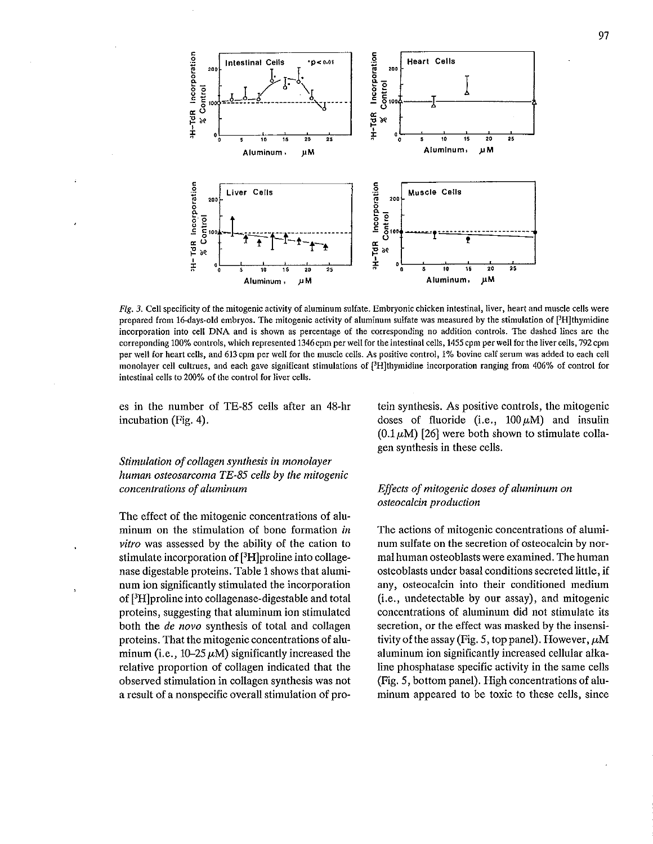

*Fig. 3.* **Cell specificity of the mitogenic activity of aluminum sulfate. Embryonic chicken intestinal, liver, heart and muscle cells were prepared from 16-days-old embryos. The mitogenic activity of aluminum sulfate was measured by the stimulation of [3H]thymidine incorporation into cell DNA and is shown as percentage of the corresponding no addition controls. The dashed lines are the correponding 100% controls, which represented 1346cpm per well for the intestinal cells, 1455cpm per well for the liver cells, 792cpm per well for heart cells, and 613 cpm per well for the muscle cells. As positive control, 1% bovine calf serum was added to each cell monolayer cell cultrues, and each gave significant stimulations of [3H]thymidine incorporation ranging from 406% of control for intestinal cells to 200% of the control for liver cells.** 

es in the number of TE-85 cells after an 48-hr incubation (Fig. 4).

## *Stimulation of collagen synthesis in mono/ayer human osteosarcoma TE-85 cells by the mitogenic concentrations of aluminum*

The effect of the mitogenic concentrations of aluminum on the stimulation of bone formation *in vitro* was assessed by the ability of the cation to stimulate incorporation of [3H]proline into collagenase digestable proteins. Table 1 shows that aluminum ion significantly stimulated the incorporation of ['H]proline into collagenase-digestable and total proteins, suggesting that aluminum ion stimulated both the *de nova* synthesis of total and collagen proteins. That the mitogenic concentrations of aluminum (i.e.,  $10-25 \mu M$ ) significantly increased the relative proportion of collagen indicated that the observed stimulation in collagen synthesis was not a result of a nonspecific overall stimulation of protein synthesis. As positive controls, the mitogenic doses of fluoride (i.e.,  $100 \mu M$ ) and insulin  $(0.1 \,\mu\text{M})$  [26] were both shown to stimulate collagen synthesis in these cells.

## *Effects of mitogenic doses of aluminum on osteocalcin production*

The actions of mitogenic concentrations of aluminum sulfate on the secretion of osteocalcin by normal human osteoblasts were examined. The human osteoblasts under basal conditions secreted little, if any, osteocalcin into their conditioned medium (i.e., undetectable by our assay), and mitogenic concentrations of aluminum did not stimulate its secretion, or the effect was masked by the insensitivity of the assay (Fig. 5, top panel). However,  $\mu$ M aluminum ion significantly increased cellular alkaline phosphatase specific activity in the same cells (Fig. 5, bottom panel). High concentrations of aluminum appeared to be toxic to these cells, since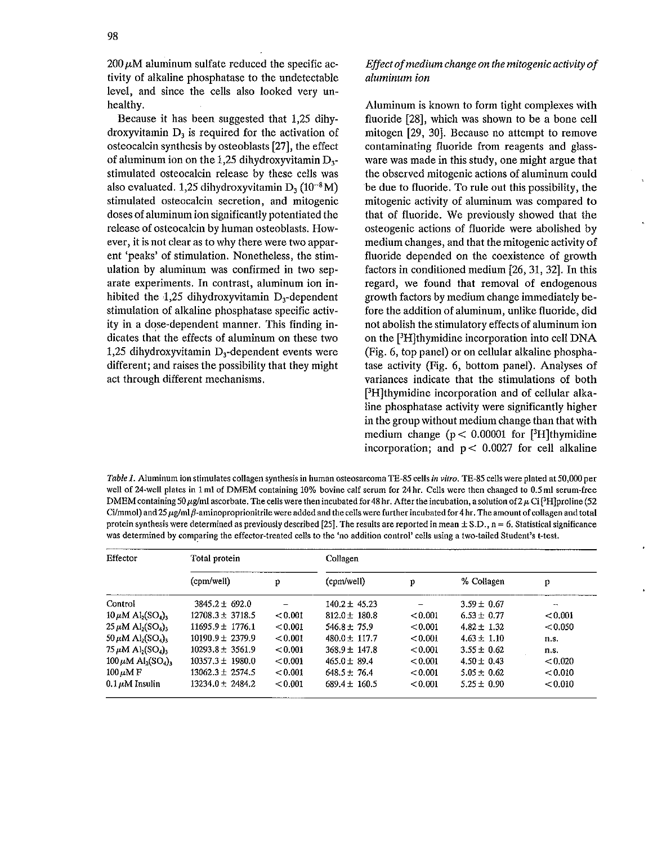$200 \mu$ M aluminum sulfate reduced the specific activity of alkaline phosphatase to the undetectable level, and since the cells also looked very unhealthy.

Because it has been suggested that 1,25 dihydroxyvitamin  $D<sub>3</sub>$  is required for the activation of osteocalcin synthesis by osteoblasts [27], the effect of aluminum ion on the 1,25 dihydroxyvitamin  $D_{3}$ stimulated osteocalcin release by these cells was also evaluated. 1,25 dihydroxyvitamin  $D_3 (10^{-8} M)$ stimulated osteocalcin secretion, and mitogenic doses of aluminum ion significantly potentiated the release of osteocalcin by human osteoblasts. However, it is not clear as to why there were two apparent 'peaks' of stimulation. Nonetheless, the stimulation by aluminum was confirmed in two separate experiments. In contrast, aluminum ion inhibited the 1,25 dihydroxyvitamin  $D_3$ -dependent stimulation of alkaline phosphatase specific activity in a dose-dependent manner. This finding indicates that the effects of aluminum on these two 1,25 dihydroxyvitamin  $D_3$ -dependent events were different; and raises the possibility that they might act through different mechanisms.

## *Effect of medium change on the mitogenic activity of aluminum ion*

Aluminum is known to form tight complexes with fluoride (28], which was shown to be a bone cell mitogen [29, 30]. Because no attempt to remove contaminating fluoride from reagents and glassware was made in this study, one might argue that the observed mitogenic actions of aluminum could be due to fluoride. To rule out this possibility, the mitogenic activity of aluminum was compared to that of fluoride. We previously showed that the osteogenic actions of fluoride were abolished by medium changes, and that the mitogenic activity of fluoride depended on the coexistence of growth factors in conditioned medium [26, 31, 32]. In this regard, we found that removal of endogenous growth factors by medium change immediately before the addition of aluminum, unlike fluoride, did not abolish the stimulatory effects of aluminum ion on the ['H]thymidine incorporation into cell DNA (Fig. 6, top panel) or on cellular alkaline phosphatase activity (Fig. 6, bottom panel). Analyses of variances indicate that the stimulations of both ['H]thymidine incorporation and of cellular alkaline phosphatase activity were significantly higher in the group without medium change than that with medium change ( $p < 0.00001$  for  $[3H]$ thymidine incorporation; and  $p < 0.0027$  for cell alkaline

*Table 1.* **Aluminum ion stimulates collagen synthesis in human osteosarcoma TE-85 cells** *in vitro.* **TE-85 cells were plated at 50,000 per well of 24-well plates in 1ml of DMEM containing 10% bovine calf serum for 24hr. Cells were then changed to 0.5ml serum-free DMEM containing 50**  $\mu$ **g/ml ascorbate. The cells were then incubated for 48 hr. After the incubation, a solution of 2**  $\mu$  **Ci [<sup>3</sup>H]proline (52** Ci/mmol) and 25 μg/ml β-aminoproprionitrile were added and the cells were further incubated for 4 hr. The amount of collagen and total **protein synthesis were determined as previously described [25J. The results are reported in mean ± S.D., n = 6. Statistical significance**  was determined by comparing the effector-treated cells to the 'no addition control' cells using a two-tailed Student's t-test.

| Effector                                                   | Total protein        |         | Collagen          |              |                 |         |
|------------------------------------------------------------|----------------------|---------|-------------------|--------------|-----------------|---------|
|                                                            | (cpm/well)           | p       | (cpm/well)        | p            | % Collagen      | р       |
| Control                                                    | $3845.2 \pm 692.0$   |         | $140.2 \pm 45.23$ |              | $3.59 \pm 0.67$ | -       |
| $10 \mu M$ Al <sub>2</sub> (SO <sub>4</sub> ) <sub>3</sub> | $12708.3 \pm 3718.5$ | < 0.001 | $812.0 \pm 180.8$ | <0.001       | $6.53 \pm 0.77$ | < 0.001 |
| $25 \mu M$ Al <sub>2</sub> (SO <sub>4</sub> ) <sub>3</sub> | $11695.9 \pm 1776.1$ | < 0.001 | $546.8 \pm 75.9$  | < 0.001      | $4.82 \pm 1.32$ | < 0.050 |
| $50 \mu M$ Al <sub>2</sub> (SO <sub>4</sub> ) <sub>3</sub> | $10190.9 \pm 2379.9$ | < 0.001 | $480.0 + 117.7$   | < 0.001      | $4.63 \pm 1.10$ | n.s.    |
| $75 \mu M \text{ Al}_2(\text{SO}_4)_3$                     | $10293.8 \pm 3561.9$ | < 0.001 | $368.9 \pm 147.8$ | ${}_{0.001}$ | $3.55 \pm 0.62$ | n.s.    |
| $100 \mu M$ Al <sub>2</sub> (SO <sub>4</sub> ),            | $10357.3 \pm 1980.0$ | < 0.001 | $465.0 \pm 89.4$  | < 0.001      | $4.50 \pm 0.43$ | < 0.020 |
| $100 \mu \text{M F}$                                       | $13062.3 \pm 2574.5$ | < 0.001 | $648.5 \pm 76.4$  | ${}_{0.001}$ | $5.05 \pm 0.62$ | < 0.010 |
| $0.1 \,\mu \mathrm{M}$ Insulin                             | $13234.0 \pm 2484.2$ | < 0.001 | $689.4 \pm 160.5$ | < 0.001      | $5.25 \pm 0.90$ | < 0.010 |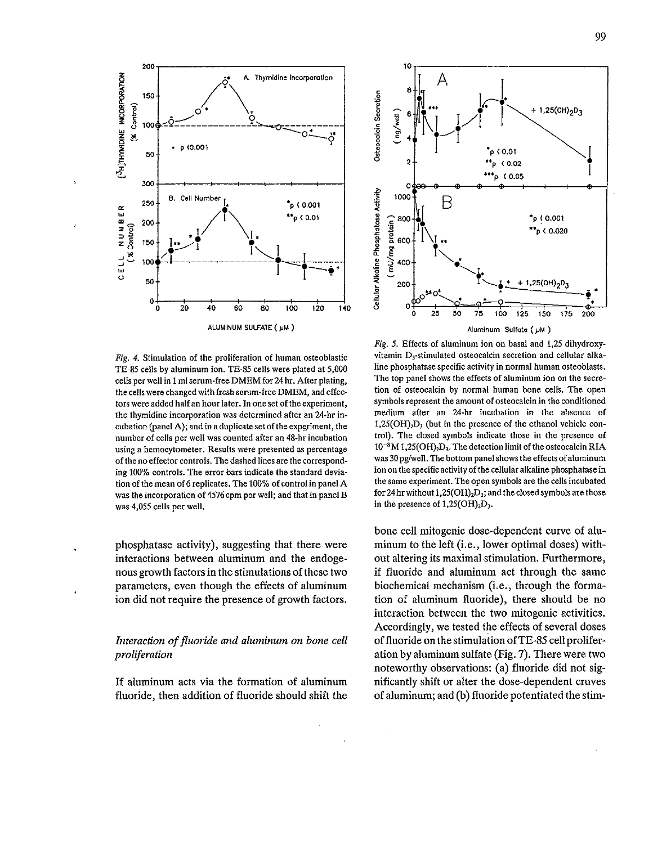

*Fig. 4.* Stimulation of the proliferation of human osteoblastic TE-85 cells by aluminum ion. TE-85 cells were plated at 5,000 cells per well in 1 ml serum-free DMEM for 24 hr. After plating, the cells were changed with fresh serum-free DMEM, and effectors were added half an hour later. In one set of the experiment, the thymidine incorporation was determined after an 24-hr incubation (panel  $A$ ); and in a duplicate set of the experiment, the number of cells per well was counted after an 48-hr incubation using a hemocytometer. Results were presented as percentage of the no effector controls. The dashed lines are the corresponding 100% controls. The error bars indicate the standard deviation of the mean of 6 replicates. The 100% of control in panel A was the incorporation of 4576cpm per well; and that in panel B was 4,055 cells per well.

phosphatase activity), suggesting that there were interactions between aluminum and the endogenous growth factors in the stimulations of these two parameters, even though the effects of aluminum ion did not require the presence of growth factors.

## *Interaction of fluoride and aluminum on bone cell proliferation*

If aluminum acts via the formation of aluminum fluoride, then addition of fluoride should shift the



*Fig. 5.* Effects of aluminum ion on basal and 1,25 dihydroxyvitamin D<sub>3</sub>-stimulated osteocalcin secretion and cellular alkaline phosphatase specific activity in normal human osteoblasts. The top panel shows the effects of aluminum ion on the secretion of osteocalcin by normal human bone cells. The open symbols represent the amount of osteocalcin in the conditioned medium after an 24-hr incubation in the absence of  $1,25(OH)<sub>2</sub>D<sub>3</sub>$  (but in the presence of the ethanol vehicle control). The closed symbols indicate those in the presence of  $10^{-8}$  M 1,25(OH)<sub>2</sub>D<sub>3</sub>. The detection limit of the osteocalcin RIA was 30 pg/well. The bottom panel shows the effects of aluminum ion on the specific activity of the cellular alkaline phosphatase in the same experiment. The open symbols are the cells incubated for 24 hr without  $1,25(OH)_2D_3$ ; and the closed symbols are those in the presence of  $1,25(OH)<sub>2</sub>D<sub>3</sub>$ .

bone cell mitogenic dose-dependent curve of aluminum to the left (i.e., lower optimal doses) without altering its maximal stimulation. Furthermore, if fluoride and aluminum act through the same biochemical mechanism (i.e., through the formation of aluminum fluoride), there should be no interaction between the two mitogenic activities. Accordingly, we tested the effects of several doses of fluoride on the stimulation ofTE-85 cell proliferation by aluminum sulfate (Fig. 7). There were two noteworthy observations: (a) fluoride did not significantly shift or alter the dose-dependent cruves of aluminum; and (b) fluoride potentiated the stim-

 $\mathcal{A}$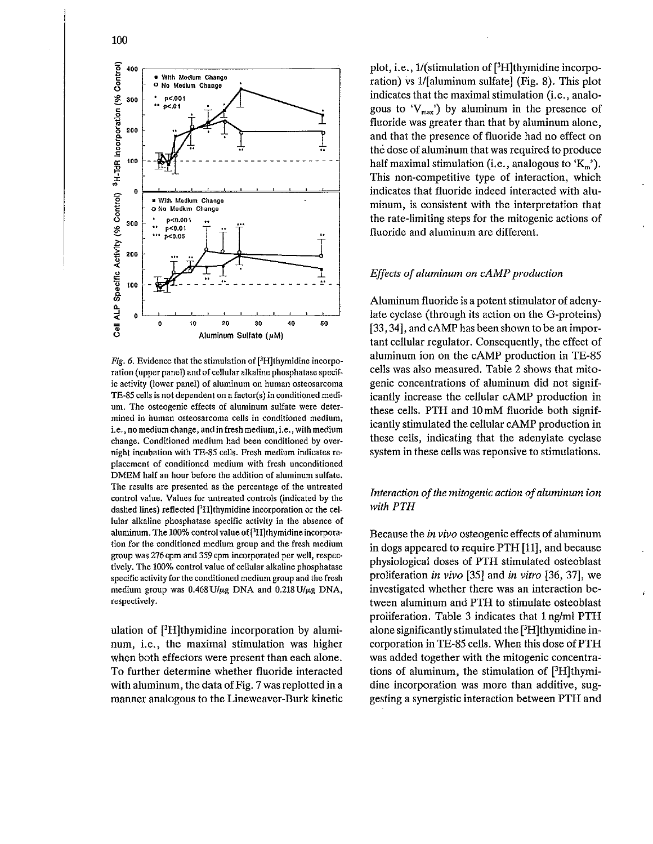



*Fig. 6.* **Evidence that the stimulation of [3H]thymidine incorporation (upper panel) and of cellular alkaline phosphatase specific activity (lower panel) of aluminum on human osteosarcoma TE-85 cells is not dependent on a factor(s) in conditioned medium. The osteogenic effects of aluminum sulfate were determined in human osteosarcoma cells in conditioned medium, i.e. 1 no medium change, and in fresh medium, i.e., with medium change. Conditioned medium had been conditioned by overnight incubation with TE-85 cells. Fresh medium indicates replacement of conditioned medium with fresh unconditioned DMEM half an hour before the addition of aluminum sulfate. The results are presented as the percentage of the untreated control value. Values for untreated controls (indicated by the dashed lines) reflected [3H]thymidine incorporation or the cellular alkaline phosphatase specific activity in the absence of aluminum. The 100% control value of [3H]thymidine incorporation for the conditioned medium group and the fresh medium group was 276cpm and 359cpm incorporated per well, respectively. The 100% control value of cellular alkaline phosphatase specific activity for the conditioned medium group and the fresh**  medium group was  $0.468$  U/ $\mu$ g DNA and  $0.218$  U/ $\mu$ g DNA, **respectively.** 

ulation of ['H]thymidine incorporation by aluminum, i.e., the maximal stimulation was higher when both effectors were present than each alone. To further determine whether fluoride interacted with aluminum, the data of Fig. 7 was replotted in a manner analogous to the Lineweaver-Burk kinetic

plot, i.e., 1/(stimulation of ['H]thymidine incorporation) vs 1/[aluminum sulfate] (Fig. 8). This plot indicates that the maximal stimulation (i.e., analogous to ' $V_{\text{max}}$ ') by aluminum in the presence of fluoride was greater than that by aluminum alone, and that the presence of fluoride had no effect on the dose of aluminum that was required to produce half maximal stimulation (i.e., analogous to ' $K_m$ '). This non-competitive type of interaction, which indicates that fluoride indeed interacted with aluminum, is consistent with the interpretation that the rate-limiting steps for the mitogenic actions of fluoride and aluminum are different.

#### *Effects of aluminum on cAMP production*

Aluminum fluoride is a potent stimulator of adenylate cyclase (through its action on the G-proteins) [33, 34], and cAMP has been shown to be an important cellular regulator. Consequently, the effect of aluminum ion on the cAMP production in TE-85 cells was also measured. Table 2 shows that mitogenic concentrations of aluminum did not significantly increase the cellular cAMP production in these cells. PTH and 10 mM fluoride both significantly stimulated the cellular cAMP production in these cells, indicating that the adenylate cyclase system in these cells was reponsive to stimulations.

## *Interaction of the mitogenic action of aluminum ion with PTH*

Because the *in vivo* osteogenic effects of aluminum in dogs appeared to require PTH [11], and because physiological doses of PTH stimulated osteoblast proliferation *in vivo* [35] and *in vitro* [36, 37], we investigated whether there was an interaction between aluminum and PTH to stimulate osteoblast proliferation. Table 3 indicates that 1 ng/ml PTH alone significantly stimulated the  $[3H]$ thymidine incorporation in TE-85 cells. When this dose of PTH was added together with the mitogenic concentrations of aluminum, the stimulation of  $[3H]$ thymidine incorporation was more than additive, suggesting a synergistic interaction between PTH and

š.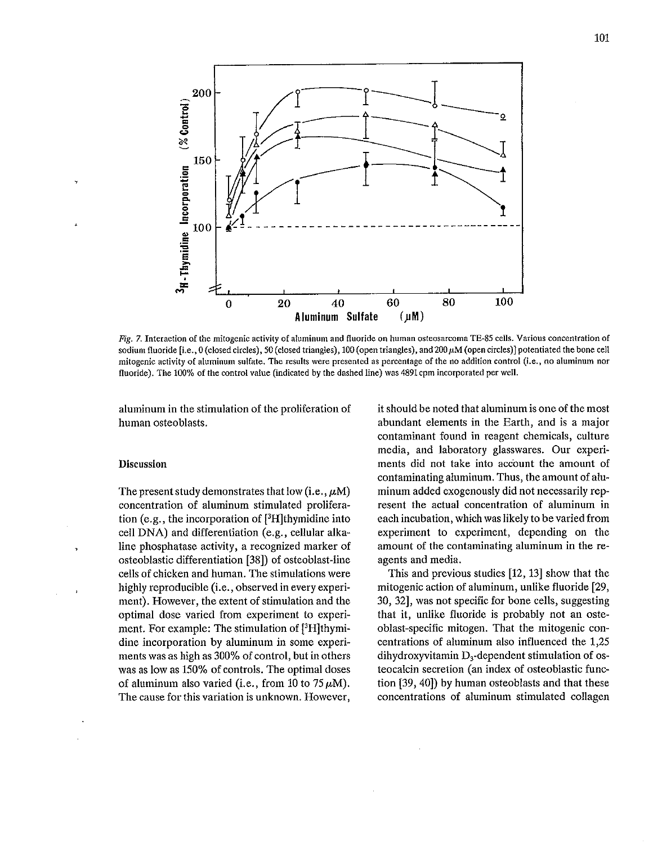

*Fig.* **7. Interaction of the mitogenic activity of aluminum and fluoride on human osteosarcoma TE-85 cells. Various concentration of**  sodium fluoride [i.e., 0 (closed circles), 50 (closed triangles), 100 (open triangles), and 200  $\mu$ M (open circles)] potentiated the bone cell **mitogenic activity of aluminum sulfate. The results were presented as percentage of the no addition control (i.e., no aluminum nor fluoride). The 100% of the control value (indicated by the dashed line) was 4891 cpm incorporated per well.** 

aluminum in the stimulation of the proliferation of human osteoblasts.

#### **Discussion**

The present study demonstrates that low (i.e.,  $\mu$ M) concentration of aluminum stimulated proliferation (e.g., the incorporation of  $[3H]$ thymidine into cell DNA) and differentiation (e.g., cellular alkaline phosphatase activity, a recognized marker of osteoblastic differentiation [38]) of osteoblast-line cells of chicken and human. The stimulations were highly reproducible (i.e., observed in every experiment). However, the extent of stimulation and the optimal dose varied from experiment to experiment. For example: The stimulation of [ 3H]thymidine incorporation by aluminum in some experiments was as high as 300% of control, but in others was as low as 150% of controls. The optimal doses of aluminum also varied (i.e., from 10 to 75  $\mu$ M). The cause for this variation is unknown. However,

it should be noted that aluminum is one of the most abundant elements in the Earth, and is a major contaminant found in reagent chemicals, culture media, and laboratory glasswares. Our experiments did not take into account the amount of contaminating aluminum. Thus, the amount of aluminum added exogenously did not necessarily represent the actual concentration of aluminum in each incubation, which was likely to be varied from experiment to experiment, depending on the amount of the contaminating aluminum in the reagents and media.

This and previous studies [12, 13] show that the mitogenic action of aluminum, unlike fluoride [29, 30, 32], was not specific for bone cells, suggesting that it, unlike fluoride is probably not an osteoblast-specific mitogen. That the mitogenic concentrations of aluminum also influenced the 1,25 dihydroxyvitamin  $D_3$ -dependent stimulation of osteocalcin secretion (an index of osteoblastic function [39, 40]) by human osteoblasts and that these concentrations of aluminum stimulated collagen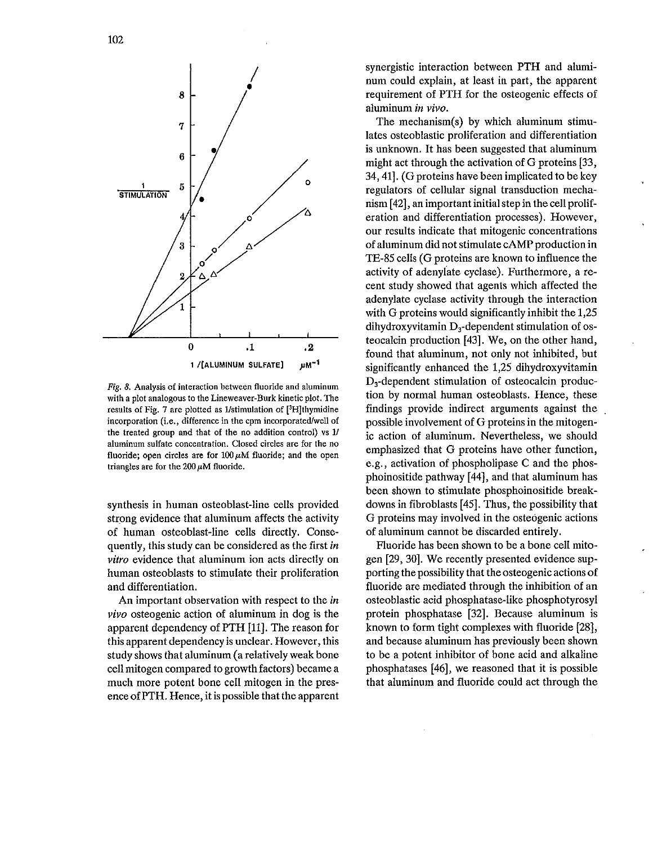

*Fig. 8.* **Analysis of interaction between fluoride and aluminum**  with a plot analogous to the Lineweaver-Burk kinetic plot. The **results of Fig. 7 are plotted as 1/stimulation of [3H]thymidine incorporation (i.e., difference in the cpm incorporated/well of the treated group and that of the no addition control) vs 1/ aluminum sulfate concentration. Closed circles are for the no**  fluoride; open circles are for  $100 \mu M$  fluoride; and the open **triangles are for the**  $200 \mu M$  **fluoride.** 

synthesis in human osteoblast-line cells provided strong evidence that aluminum affects the activity of human osteoblast-line cells directly. Consequently, this study can be considered as the first *in vitro* evidence that aluminum ion acts directly on human osteoblasts to stimulate their proliferation and differentiation.

An important observation with respect to the *in vivo* osteogenic action of aluminum in dog is the apparent dependency of PTH [11]. The reason for this apparent dependency is unclear. However, this study shows that aluminum ( a relatively weak bone cell mitogen compared to growth factors) became a much more potent bone cell mitogen in the presence of PTH. Hence, it is possible that the apparent synergistic interaction between PTH and aluminum could explain, at least in part, the apparent requirement of PTH for the osteogenic effects of aluminum *in vivo.* 

The mechanism(s) by which aluminum stimulates osteoblastic proliferation and differentiation is unknown. It has been suggested that aluminum might act through the activation of G proteins [33, 34, 41]. (G proteins have been implicated to be key regulators of cellular signal transduction mechanism [42), an important initial step in the cell proliferation and differentiation processes). However, our results indicate that mitogenic concentrations of aluminum did not stimulate cAMP production in TE-85 cells (G proteins are known to influence the activity of adenylate cyclase). Furthermore, a recent study showed that agents which affected the adenylate cyclase activity through the interaction with G proteins would significantly inhibit the 1,25 dihydroxyvitamin  $D_3$ -dependent stimulation of osteocalcin production [43). We, on the other hand, found that aluminum, not only not inhibited, but significantly enhanced the 1,25 dihydroxyvitamin  $D_3$ -dependent stimulation of osteocalcin production by normal human osteoblasts. Hence, these findings provide indirect arguments against the possible involvement of G proteins in the mitogenic action of aluminum. Nevertheless, we should emphasized that G proteins have other function, e.g., activation of phospholipase C and the phosphoinositide pathway [44), and that aluminum has been shown to stimulate phosphoinositide breakdowns in fibroblasts [45]. Thus, the possibility that G proteins may involved in the osteogenic actions of aluminum cannot be discarded entirely.

Fluoride has been shown to be a bone cell mitogen [29, 30). We recently presented evidence supporting the possibility that the osteogenic actions of fluoride are mediated through the inhibition of an osteoblastic acid phosphatase-like phosphotyrosyl protein phosphatase [32). Because aluminum is known to form tight complexes with fluoride [28), and because aluminum has previously been shown to be a potent inhibitor of bone acid and alkaline phosphatases [46], we reasoned that it is possible that aluminum and fluoride could act through the

102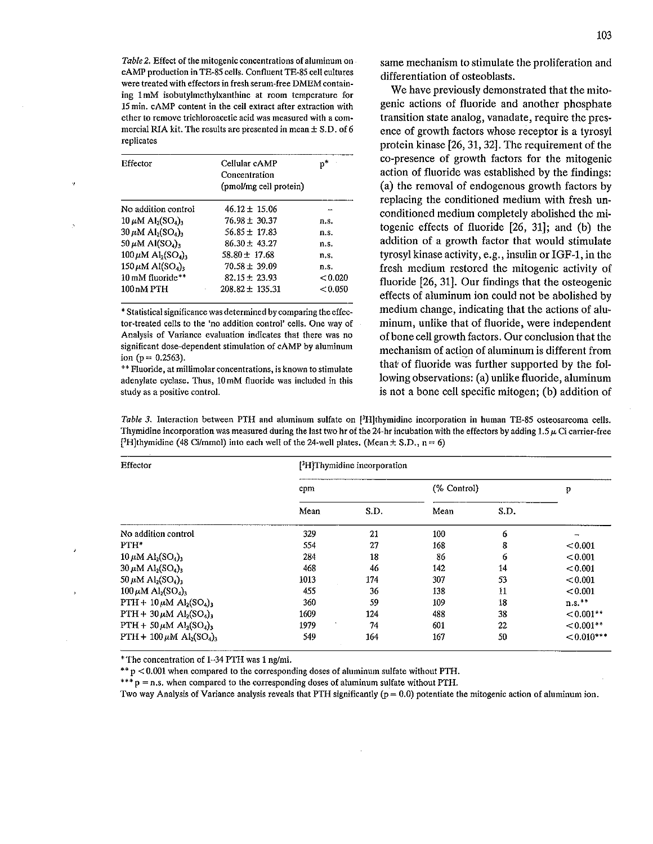*Table 2.* **Effect of the mitogenic concentrations of aluminum on cAMP production in TE-85 cells. Confluent TE-85 cell cultures were treated with effectors in fresh serum.free DMEM containing 1 mM isobutylmethylxanthine at room temperature for 15 min. cAMP content in the cell extract after extraction with ether to remove trichloroacetic acid was measured with a commercial RIA kit. The results are presented in mean± S.D. of 6 replicates** 

| Effector                                       | Cellular cAMP<br>Concentration<br>(pmol/mg cell protein) | n*      |
|------------------------------------------------|----------------------------------------------------------|---------|
| No addition control                            | $46.12 \pm 15.06$                                        |         |
| $10 \mu M$ Al <sub>2</sub> (SO <sub>4</sub> ). | $76.98 \pm 30.37$                                        | n.s.    |
| $30 \mu M \text{ Al}_2(\text{SO}_4)_3$         | $56.85 \pm 17.83$                                        | n.s.    |
| $50 \mu M$ Al(SO <sub>1</sub> ),               | $86.30 \pm 43.27$                                        | n.s.    |
| $100 \,\mu M \, Al_2(SO_4)_3$                  | $58.80 \pm 17.68$                                        | n.s.    |
| $150 \mu M$ Al(SO <sub>4</sub> ),              | $70.58 \pm 39.09$                                        | n.s.    |
| $10 \text{ mM}$ fluoride**                     | $82.15 + 23.93$                                          | < 0.020 |
| 100 nM PTH                                     | $208.82 \pm 135.31$                                      | < 0.050 |

\* **Statistical significance was determined by comparing the effector-treated cells to the 'no addition control' cells. One way of Analysis of Variance evaluation indicates that there was no significant dose-dependent stimulation of cAMP by aluminum**  ion ( $p = 0.2563$ ).

\*\* **Fluoride, at millimolar concentrations, is known to stimulate adenylate cyclase. Thus, lOmM fluoride was included in this study as a positive control.** 

We have previously demonstrated that the mitogenic actions of fluoride and another phosphate transition state analog, vanadate, require the presence of growth factors whose receptor is a tyrosyl protein kinase [26, 31, 32]. The requirement of the co-presence of growth factors for the mitogenic action of fluoride was established by the findings: (a) the removal of endogenous growth factors by replacing the conditioned medium with fresh unconditioned medium completely abolished the mitogenic effects of fluoride [26, 31]; and (b) the addition of a growth factor that would stimulate tyrosyl kinase activity, e.g., insulin or IGF-1, in the fresh medium restored the mitogenic activity of fluoride [26, 31]. Our findings that the osteogenic effects of aluminum ion could not be abolished by medium change, indicating that the actions of aluminum, unlike that of fluoride, were independent of bone cell growth factors. Our conclusion that the mechanism of action of aluminum is different from that of fluoride was further supported by the following observations: (a) unlike fluoride, aluminum is not a bone cell specific mitogen; (b) addition of

*Table 3.* **Interaction between PTH and aluminum sulfate on [3H]thymidine incorporation in human TE-85 osteosarcoma cells. Thymidine incorporation was measured during the last two hr of the 24-hr incubation with the effectors by adding**  $1.5 \mu$  **Ci carrier-free** [<sup>3</sup>H]thymidine (48 Ci/mmol) into each well of the 24-well plates. (Mean  $\pm$  S.D., n = 6)

| Effector                                                          | [ <sup>3</sup> H]Thymidine incorporation |      |             |      |              |  |  |
|-------------------------------------------------------------------|------------------------------------------|------|-------------|------|--------------|--|--|
|                                                                   | cpm                                      |      | (% Control) |      | p            |  |  |
|                                                                   | Mean                                     | S.D. | Mean        | S.D. |              |  |  |
| No addition control                                               | 329                                      | 21   | 100         | 6    |              |  |  |
| $PTH^*$                                                           | 554                                      | 27   | 168         | 8    | < 0.001      |  |  |
| $10 \mu M$ Al <sub>2</sub> (SO <sub>4</sub> ) <sub>2</sub>        | 284                                      | 18   | 86          | 6    | < 0.001      |  |  |
| $30 \mu M \text{ Al}_2(\text{SO}_4)_3$                            | 468                                      | 46   | 142         | 14   | < 0.001      |  |  |
| $50 \mu M$ Al <sub>2</sub> (SO <sub>4</sub> ).                    | 1013                                     | 174  | 307         | 53   | < 0.001      |  |  |
| $100 \mu M$ Al <sub>2</sub> (SO <sub>4</sub> ) <sub>3</sub>       | 455                                      | 36   | 138         | 11   | < 0.001      |  |  |
| $PTH + 10 \mu M \text{ Al}_2(SO_4),$                              | 360                                      | 59   | 109         | 18   | $n.s.$ **    |  |  |
| $PTH + 30 \mu M \text{ Al}_2(SO_4),$                              | 1609                                     | 124  | 488         | 38   | $< 0.001**$  |  |  |
| PTH + 50 $\mu$ M Al <sub>2</sub> (SO <sub>4</sub> ) <sub>3</sub>  | 1979                                     | 74   | 601         | 22   | $< 0.001**$  |  |  |
| PTH + $100 \mu M$ Al <sub>2</sub> (SO <sub>4</sub> ) <sub>3</sub> | 549                                      | 164  | 167         | 50   | $< 0.010***$ |  |  |

**\*The concentration of 1-34 PTH was 1 nglml.** 

\*\* **p < 0.001 when compared to the corresponding doses of aluminum sulfate without P1H.** 

\*\*\*  $p = n.s.$  when compared to the corresponding doses of aluminum sulfate without PTH.

Two way Analysis of Variance analysis reveals that PTH significantly  $(p = 0.0)$  potentiate the mitogenic action of aluminum ion.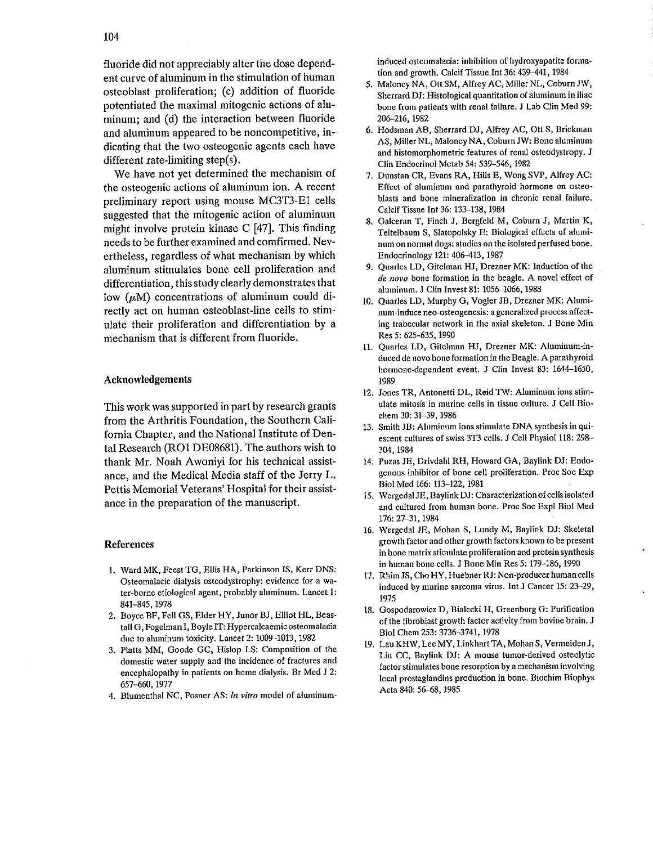fluoride did not appreciably alter the dose dependent curve of aluminum in the stimulation of human osteoblast proliferation; (c) addition of fluoride potentiated the maximal mitogenic actions of aluminum; and (d) the interaction between fluoride and aluminum appeared to be noncompetitive, indicating that the two osteogenic agents each have different rate-limiting step(s).

We have not yet determined the mechanism of the osteogenic actions of aluminum ion. A recent preliminary report using mouse MC3T3-El cells suggested that the mitogenic action of aluminum might involve protein kinase C [47]. This finding needs to be further examined and comfirmed. Nevertheless, regardless of what mechanism by which aluminum stimulates bone cell proliferation and differentiation, this study clearly demonstrates that low  $(\mu M)$  concentrations of aluminum could directly act on human osteoblast-line cells to stimulate their proliferation and differentiation by a mechanism that is different from fluoride.

#### **Acknowledgements**

This work was supported in part by research grants from the Arthritis Foundation, the Southern California Chapter, and the National Institute of Dental Research (ROl DE08681). The authors wish to thank Mr. Noah Awoniyi for his technical assistance, and the Medical Media staff of the Jerry **L.**  Pettis Memorial Veterans' Hospital for their assistance in the preparation of the manuscript.

#### **References**

- 1. Ward MK, Feest TG, Ellis HA, Parkinson IS, Kerr DNS: Osteomalacic dialysis osteodystrophy: evidence for a water-borne etiological agent, probably aluminum. Lancet 1: 841-845, 1978
- 2. Boyce BF, Fell GS, Elder HY, Junor BJ, Elliot HL, Beastall G, Fogelman I, Boyle IT: Hypercalcaemic osteomalacia due to aluminum toxicity. Lancet 2: 1009-1013, 1982
- 3. Platts MM, Goode GC, Hislop LS: Composition of the domestic water supply and the incidence of fractures and encephalopathy in patients on home dialysis. Br Med J 2: 657-660, 1977
- 4. Blumenthal NC, Posner AS: *In vitro* model of aluminum-

induced osteomalacia: inhibition of hydroxyapatite formation and growth. Calcif Tissue Int 36: 439-441, 1984

- 5. Maloney NA, Ott SM, Alfrey AC, Miller NL, CoburnJW, Sherrard DJ: Histological quantitation of aluminum in iliac bone from patients with renal failure. J Lab Clin Med 99: 206-216, 1982
- 6. Hodsman AB, Sherrard DJ, Alfrey AC, Ott S, Brickman AS, Miller NL, Maloney NA, Coburn JW: Bone aluminum and histomorphornetric features of renal osteodystropy. J Clin Endocrinol Metab 54: 539-546, 1982
- 7. Dunstan CR, Evans RA, Hills E, WongSVP, Alfrey AC: Effect of aluminum and parathyroid hormone on osteoblasts and bone mineralization in chronic renal failure. CalcifTissue Int 36: 133-138, 1984
- 8. Galceran T, Finch J, Bergfeld M, Coburn J, Martin K, Teitelbaum *S,* Slatopolsky E: Biological effects of aluminum on normal dogs: studies on the isolated perfused \_bone. Endocrinology 121: 406-413, 1987
- 9. Quarles LD, Gitelman HJ, Drezner MK: Induction of the *de novo* bone formation in the beagle. A novel effect of aluminum. J Clio Invest 81: 1056-1066, 1988
- 10. Quarles LD, Murphy G, Vogler JB, Drezner MK: Aluminum-induce neo-osteogenesis: a generalized process affecting trabecular network in the axial skeleton. J Bone Min Res 5: 625-635, 1990
- 11. Quarles LD, Gitelman HJ, Drezner MK: Aluminum-induced de novo bone formation in the Beagle. A parathyroid hormone-dependent event. J Clin Invest 83: 1644-1650, 1989
- 12. Jones TR, Antonetti DL, Reid TW: Aluminum ions stimulate mitosis in murine cells in tissue culture. J Cell Biochem 30: 31-39, 1986
- 13. Smith JB: Aluminum ions stimulate DNA synthesis in quiescent cultures of swiss 3T3 cells. J Cell Physiol 118: 298- 304, 1984
- 14, Puzas JE, Drivdahl RH, Howard GA, Baylink DJ: Endogenous inhibitor of bone cell proliferation. Proc Soc Exp Biol Med 166: 113-122, 1981
- 15. WergedalJE, Baylink DJ: Characterization of cells isolated and cultured from human bone. Proc Soc Expl Biol Med 176: 27-31, 1984
- 16. Wergedal JE, Mohan S, Lundy M, Baylink DJ: Skeletal growth factor and other growth factors known to be present in bone matrix stimulate proliferation and protein synthesis in human bone cells. J Bone Min Res 5: 179-186, 1990
- 17. Rhim JS, Cho HY, Huebner RJ: Non-producer human cells induced by murine sarcoma virus. Int J Cancer 15: 23-29, 1975
- 18. Gospodarowicz D, Bialecki H, Greenburg G: Purification of the fibroblast growth factor activity from bovine brain. J Biol Chem 253: 3736-3741, 1978
- 19. Lau KHW, Lee MY, Linkhart TA, Mohan S, Vermeiden J, Liu CC, Baylink DJ: A mouse tumor-derived osteolytic factor stimulates bone resorption by a mechanism involving local prostaglandins production in bone. Biochim Biophys Acta 840: 56-68, 1985